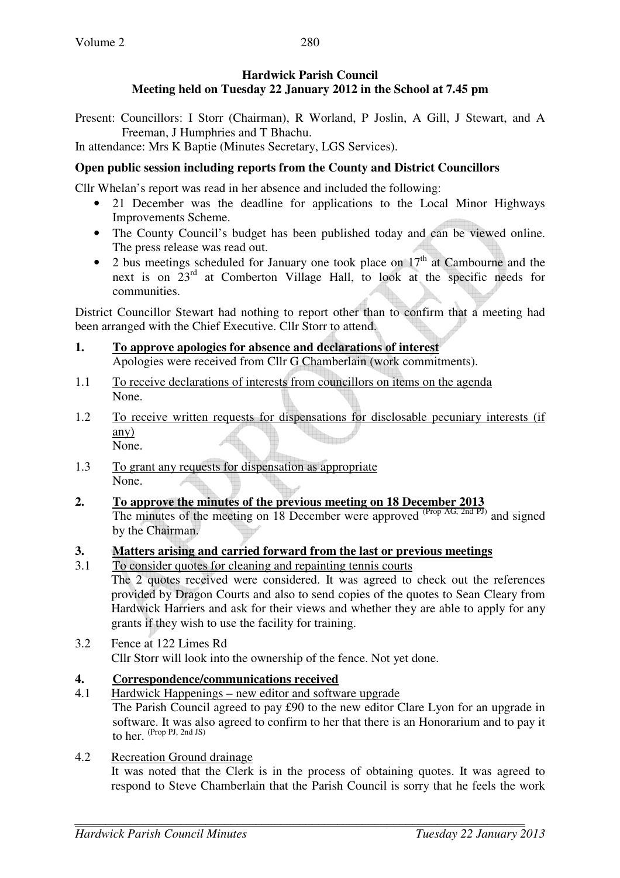# **Hardwick Parish Council Meeting held on Tuesday 22 January 2012 in the School at 7.45 pm**

Present: Councillors: I Storr (Chairman), R Worland, P Joslin, A Gill, J Stewart, and A Freeman, J Humphries and T Bhachu.

In attendance: Mrs K Baptie (Minutes Secretary, LGS Services).

# **Open public session including reports from the County and District Councillors**

Cllr Whelan's report was read in her absence and included the following:

- 21 December was the deadline for applications to the Local Minor Highways Improvements Scheme.
- The County Council's budget has been published today and can be viewed online. The press release was read out.
- 2 bus meetings scheduled for January one took place on  $17<sup>th</sup>$  at Cambourne and the next is on 23rd at Comberton Village Hall, to look at the specific needs for communities.

District Councillor Stewart had nothing to report other than to confirm that a meeting had been arranged with the Chief Executive. Cllr Storr to attend.

- **1. To approve apologies for absence and declarations of interest** Apologies were received from Cllr G Chamberlain (work commitments).
- 1.1 To receive declarations of interests from councillors on items on the agenda None.
- 1.2 To receive written requests for dispensations for disclosable pecuniary interests (if any) None.
- 1.3 To grant any requests for dispensation as appropriate None.
- **2. To approve the minutes of the previous meeting on 18 December 2013** The minutes of the meeting on 18 December were approved (Prop AG, 2nd PJ) and signed by the Chairman.

# **3. Matters arising and carried forward from the last or previous meetings**

3.1 To consider quotes for cleaning and repainting tennis courts

The 2 quotes received were considered. It was agreed to check out the references provided by Dragon Courts and also to send copies of the quotes to Sean Cleary from Hardwick Harriers and ask for their views and whether they are able to apply for any grants if they wish to use the facility for training.

3.2 Fence at 122 Limes Rd Cllr Storr will look into the ownership of the fence. Not yet done.

# **4. Correspondence/communications received**

- 4.1 Hardwick Happenings new editor and software upgrade The Parish Council agreed to pay £90 to the new editor Clare Lyon for an upgrade in software. It was also agreed to confirm to her that there is an Honorarium and to pay it to her. (Prop PJ, 2nd JS)
- 4.2 Recreation Ground drainage

 It was noted that the Clerk is in the process of obtaining quotes. It was agreed to respond to Steve Chamberlain that the Parish Council is sorry that he feels the work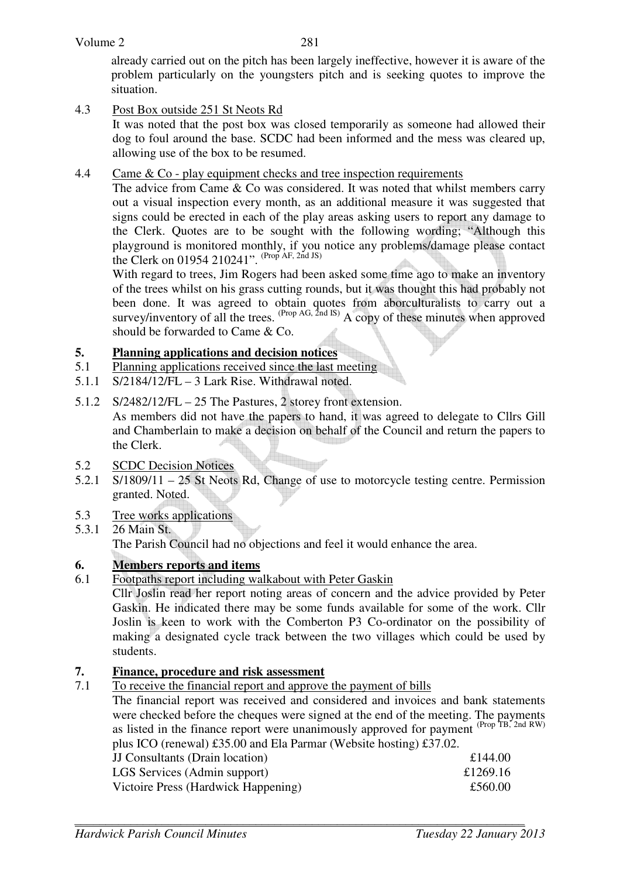already carried out on the pitch has been largely ineffective, however it is aware of the problem particularly on the youngsters pitch and is seeking quotes to improve the situation.

4.3 Post Box outside 251 St Neots Rd

 It was noted that the post box was closed temporarily as someone had allowed their dog to foul around the base. SCDC had been informed and the mess was cleared up, allowing use of the box to be resumed.

## 4.4 Came & Co - play equipment checks and tree inspection requirements

The advice from Came & Co was considered. It was noted that whilst members carry out a visual inspection every month, as an additional measure it was suggested that signs could be erected in each of the play areas asking users to report any damage to the Clerk. Quotes are to be sought with the following wording; "Although this playground is monitored monthly, if you notice any problems/damage please contact the Clerk on 01954 210241".  $(Prop AF, 2nd JS)$ 

With regard to trees, Jim Rogers had been asked some time ago to make an inventory of the trees whilst on his grass cutting rounds, but it was thought this had probably not been done. It was agreed to obtain quotes from aborculturalists to carry out a survey/inventory of all the trees.  $^{(Prop\ AG, 2nd\ IS)}$  A copy of these minutes when approved should be forwarded to Came & Co.

## **5. Planning applications and decision notices**

- 5.1 Planning applications received since the last meeting
- 5.1.1 S/2184/12/FL 3 Lark Rise. Withdrawal noted.
- 5.1.2 S/2482/12/FL 25 The Pastures, 2 storey front extension. As members did not have the papers to hand, it was agreed to delegate to Cllrs Gill and Chamberlain to make a decision on behalf of the Council and return the papers to the Clerk.

### 5.2 SCDC Decision Notices

- 5.2.1 S/1809/11 25 St Neots Rd, Change of use to motorcycle testing centre. Permission granted. Noted.
- 5.3 Tree works applications
- 5.3.1 26 Main St. The Parish Council had no objections and feel it would enhance the area.

# **6. Members reports and items**

6.1 Footpaths report including walkabout with Peter Gaskin

 Cllr Joslin read her report noting areas of concern and the advice provided by Peter Gaskin. He indicated there may be some funds available for some of the work. Cllr Joslin is keen to work with the Comberton P3 Co-ordinator on the possibility of making a designated cycle track between the two villages which could be used by students.

### **7. Finance, procedure and risk assessment**

7.1 To receive the financial report and approve the payment of bills

The financial report was received and considered and invoices and bank statements were checked before the cheques were signed at the end of the meeting. The payments as listed in the finance report were unanimously approved for payment (Prop TB, 2nd RW) plus ICO (renewal) £35.00 and Ela Parmar (Website hosting) £37.02.

| $\mu$ as two straightform $\mu$ and $\mu$ and $\mu$ and $\mu$ and $\mu$ and $\mu$ are $\mu$ and $\mu$ |          |
|-------------------------------------------------------------------------------------------------------|----------|
| <b>JJ</b> Consultants (Drain location)                                                                | £144.00  |
| LGS Services (Admin support)                                                                          | £1269.16 |
| Victoire Press (Hardwick Happening)                                                                   | £560.00  |